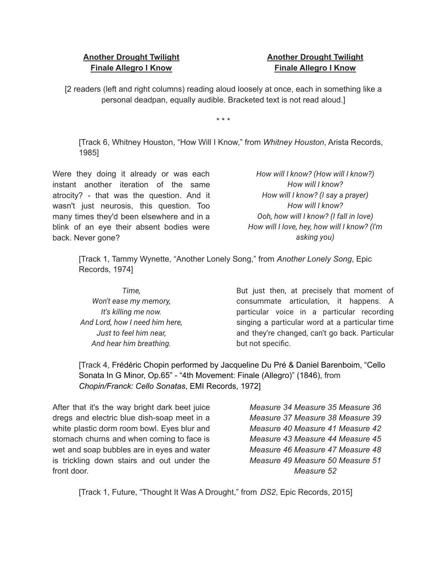## **Another Drought Twilight Finale Allegro I Know**

## **Another Drought Twilight Finale Allegro I Know**

[2 readers (left and right columns) reading aloud loosely at once, each in something like a personal deadpan, equally audible. Bracketed text is not read aloud.]

\* \* \*

[Track 6, Whitney Houston, "How Will I Know," from *Whitney Houston*, Arista Records, 1985]

Were they doing it already or was each instant another iteration of the same atrocity? - that was the question. And it wasn't just neurosis, this question. Too many times they'd been elsewhere and in a blink of an eye their absent bodies were back. Never gone?

*How will I know? (How will I know?) How will I know? How will I know? (I say a prayer) How will I know? Ooh, how will I know? (I fall in love) How will I love, hey, how will I know? (I'm asking you)*

[Track 1, Tammy Wynette, "Another Lonely Song," from *Another Lonely Song*, Epic Records, 1974]

*Time, Won't ease my memory, It's killing me now. And Lord, how I need him here, Just to feel him near, And hear him breathing.*

But just then, at precisely that moment of consummate articulation, it happens. A particular voice in a particular recording singing a particular word at a particular time and they're changed, can't go back. Particular but not specific.

[Track 4, Frédéric Chopin performed by Jacqueline Du Pré & Daniel Barenboim, "Cello Sonata In G Minor, Op.65" - "4th Movement: Finale (Allegro)" (1846), from *Chopin/Franck: Cello Sonatas*, EMI Records, 1972]

After that it's the way bright dark beet juice dregs and electric blue dish-soap meet in a white plastic dorm room bowl. Eyes blur and stomach churns and when coming to face is wet and soap bubbles are in eyes and water is trickling down stairs and out under the front door.

*Measure 34 Measure 35 Measure 36 Measure 37 Measure 38 Measure 39 Measure 40 Measure 41 Measure 42 Measure 43 Measure 44 Measure 45 Measure 46 Measure 47 Measure 48 Measure 49 Measure 50 Measure 51 Measure 52*

[Track 1, Future, "Thought It Was A Drought," from *DS2*, Epic Records, 2015]